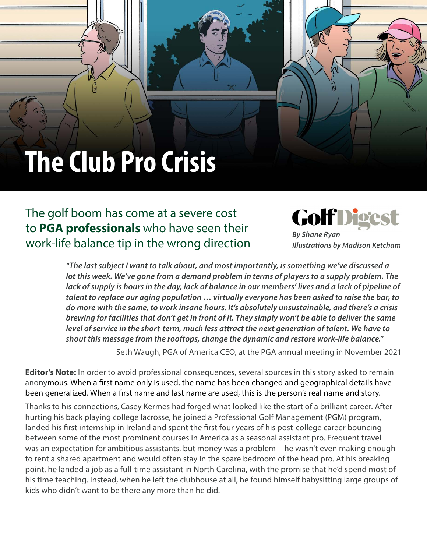# **The Club Pro Crisis**

The golf boom has come at a severe cost to **PGA professionals** who have seen their work-life balance tip in the wrong direction GolfDig

*By Shane Ryan Illustrations by Madison Ketcham*

*"The last subject I want to talk about, and most importantly, is something we've discussed a lot this week. We've gone from a demand problem in terms of players to a supply problem. The*  lack of supply is hours in the day, lack of balance in our members' lives and a lack of pipeline of *talent to replace our aging population … virtually everyone has been asked to raise the bar, to do more with the same, to work insane hours. It's absolutely unsustainable, and there's a crisis brewing for facilities that don't get in front of it. They simply won't be able to deliver the same level of service in the short-term, much less attract the next generation of talent. We have to shout this message from the rooftops, change the dynamic and restore work-life balance."*

Seth Waugh, PGA of America CEO, at the PGA annual meeting in November 2021

**Editor's Note:** In order to avoid professional consequences, several sources in this story asked to remain anonymous. When a first name only is used, the name has been changed and geographical details have been generalized. When a first name and last name are used, this is the person's real name and story.

Thanks to his connections, Casey Kermes had forged what looked like the start of a brilliant career. After hurting his back playing college lacrosse, he joined a Professional Golf Management (PGM) program, landed his first internship in Ireland and spent the first four years of his post-college career bouncing between some of the most prominent courses in America as a seasonal assistant pro. Frequent travel was an expectation for ambitious assistants, but money was a problem—he wasn't even making enough to rent a shared apartment and would often stay in the spare bedroom of the head pro. At his breaking point, he landed a job as a full-time assistant in North Carolina, with the promise that he'd spend most of his time teaching. Instead, when he left the clubhouse at all, he found himself babysitting large groups of kids who didn't want to be there any more than he did.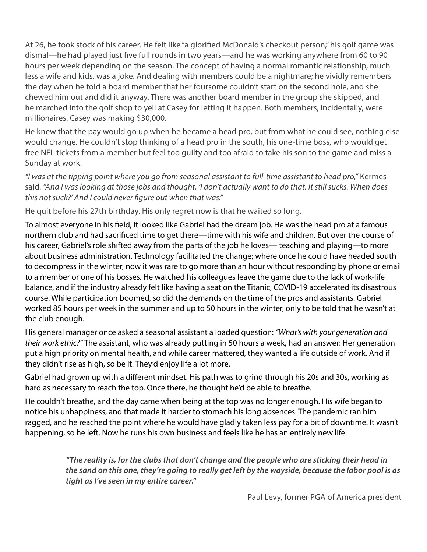At 26, he took stock of his career. He felt like "a glorified McDonald's checkout person," his golf game was dismal—he had played just five full rounds in two years—and he was working anywhere from 60 to 90 hours per week depending on the season. The concept of having a normal romantic relationship, much less a wife and kids, was a joke. And dealing with members could be a nightmare; he vividly remembers the day when he told a board member that her foursome couldn't start on the second hole, and she chewed him out and did it anyway. There was another board member in the group she skipped, and he marched into the golf shop to yell at Casey for letting it happen. Both members, incidentally, were millionaires. Casey was making \$30,000.

He knew that the pay would go up when he became a head pro, but from what he could see, nothing else would change. He couldn't stop thinking of a head pro in the south, his one-time boss, who would get free NFL tickets from a member but feel too guilty and too afraid to take his son to the game and miss a Sunday at work.

*"I was at the tipping point where you go from seasonal assistant to full-time assistant to head pro,"* Kermes said. *"And I was looking at those jobs and thought, 'I don't actually want to do that. It still sucks. When does this not suck?' And I could never figure out when that was."*

He quit before his 27th birthday. His only regret now is that he waited so long.

To almost everyone in his field, it looked like Gabriel had the dream job. He was the head pro at a famous northern club and had sacrificed time to get there—time with his wife and children. But over the course of his career, Gabriel's role shifted away from the parts of the job he loves— teaching and playing—to more about business administration. Technology facilitated the change; where once he could have headed south to decompress in the winter, now it was rare to go more than an hour without responding by phone or email to a member or one of his bosses. He watched his colleagues leave the game due to the lack of work-life balance, and if the industry already felt like having a seat on the Titanic, COVID-19 accelerated its disastrous course. While participation boomed, so did the demands on the time of the pros and assistants. Gabriel worked 85 hours per week in the summer and up to 50 hours in the winter, only to be told that he wasn't at the club enough.

His general manager once asked a seasonal assistant a loaded question: *"What's with your generation and their work ethic?"* The assistant, who was already putting in 50 hours a week, had an answer: Her generation put a high priority on mental health, and while career mattered, they wanted a life outside of work. And if they didn't rise as high, so be it. They'd enjoy life a lot more.

Gabriel had grown up with a different mindset. His path was to grind through his 20s and 30s, working as hard as necessary to reach the top. Once there, he thought he'd be able to breathe.

He couldn't breathe, and the day came when being at the top was no longer enough. His wife began to notice his unhappiness, and that made it harder to stomach his long absences. The pandemic ran him ragged, and he reached the point where he would have gladly taken less pay for a bit of downtime. It wasn't happening, so he left. Now he runs his own business and feels like he has an entirely new life.

> *"The reality is, for the clubs that don't change and the people who are sticking their head in the sand on this one, they're going to really get left by the wayside, because the labor pool is as tight as I've seen in my entire career."*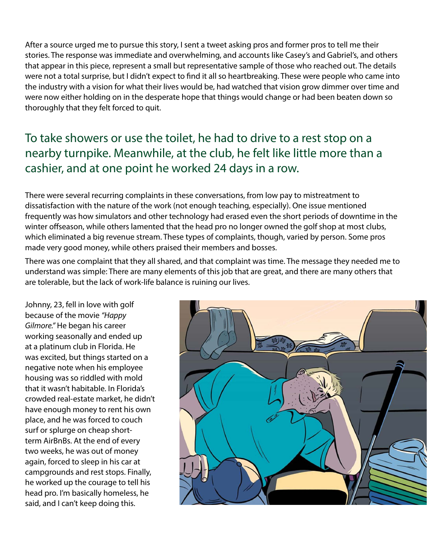After a source urged me to pursue this story, I sent a tweet asking pros and former pros to tell me their stories. The response was immediate and overwhelming, and accounts like Casey's and Gabriel's, and others that appear in this piece, represent a small but representative sample of those who reached out. The details were not a total surprise, but I didn't expect to find it all so heartbreaking. These were people who came into the industry with a vision for what their lives would be, had watched that vision grow dimmer over time and were now either holding on in the desperate hope that things would change or had been beaten down so thoroughly that they felt forced to quit.

## To take showers or use the toilet, he had to drive to a rest stop on a nearby turnpike. Meanwhile, at the club, he felt like little more than a cashier, and at one point he worked 24 days in a row.

There were several recurring complaints in these conversations, from low pay to mistreatment to dissatisfaction with the nature of the work (not enough teaching, especially). One issue mentioned frequently was how simulators and other technology had erased even the short periods of downtime in the winter offseason, while others lamented that the head pro no longer owned the golf shop at most clubs, which eliminated a big revenue stream. These types of complaints, though, varied by person. Some pros made very good money, while others praised their members and bosses.

There was one complaint that they all shared, and that complaint was time. The message they needed me to understand was simple: There are many elements of this job that are great, and there are many others that are tolerable, but the lack of work-life balance is ruining our lives.

Johnny, 23, fell in love with golf because of the movie *"Happy Gilmore."* He began his career working seasonally and ended up at a platinum club in Florida. He was excited, but things started on a negative note when his employee housing was so riddled with mold that it wasn't habitable. In Florida's crowded real-estate market, he didn't have enough money to rent his own place, and he was forced to couch surf or splurge on cheap shortterm AirBnBs. At the end of every two weeks, he was out of money again, forced to sleep in his car at campgrounds and rest stops. Finally, he worked up the courage to tell his head pro. I'm basically homeless, he said, and I can't keep doing this.

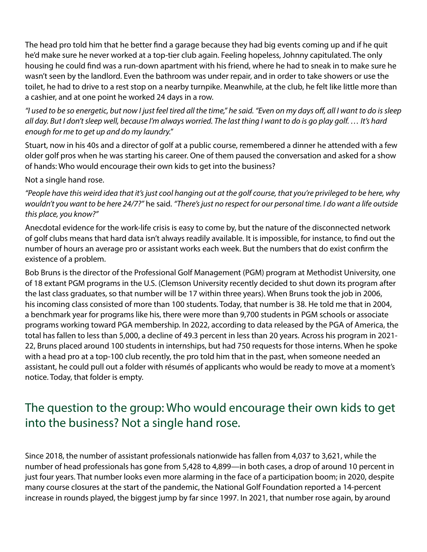The head pro told him that he better find a garage because they had big events coming up and if he quit he'd make sure he never worked at a top-tier club again. Feeling hopeless, Johnny capitulated. The only housing he could find was a run-down apartment with his friend, where he had to sneak in to make sure he wasn't seen by the landlord. Even the bathroom was under repair, and in order to take showers or use the toilet, he had to drive to a rest stop on a nearby turnpike. Meanwhile, at the club, he felt like little more than a cashier, and at one point he worked 24 days in a row.

*"I used to be so energetic, but now I just feel tired all the time," he said. "Even on my days off, all I want to do is sleep all day. But I don't sleep well, because I'm always worried. The last thing I want to do is go play golf. … It's hard enough for me to get up and do my laundry."*

Stuart, now in his 40s and a director of golf at a public course, remembered a dinner he attended with a few older golf pros when he was starting his career. One of them paused the conversation and asked for a show of hands: Who would encourage their own kids to get into the business?

Not a single hand rose.

*"People have this weird idea that it's just cool hanging out at the golf course, that you're privileged to be here, why wouldn't you want to be here 24/7?"* he said. *"There's just no respect for our personal time. I do want a life outside this place, you know?"*

Anecdotal evidence for the work-life crisis is easy to come by, but the nature of the disconnected network of golf clubs means that hard data isn't always readily available. It is impossible, for instance, to find out the number of hours an average pro or assistant works each week. But the numbers that do exist confirm the existence of a problem.

Bob Bruns is the director of the Professional Golf Management (PGM) program at Methodist University, one of 18 extant PGM programs in the U.S. (Clemson University recently decided to shut down its program after the last class graduates, so that number will be 17 within three years). When Bruns took the job in 2006, his incoming class consisted of more than 100 students. Today, that number is 38. He told me that in 2004, a benchmark year for programs like his, there were more than 9,700 students in PGM schools or associate programs working toward PGA membership. In 2022, according to data released by the PGA of America, the total has fallen to less than 5,000, a decline of 49.3 percent in less than 20 years. Across his program in 2021- 22, Bruns placed around 100 students in internships, but had 750 requests for those interns. When he spoke with a head pro at a top-100 club recently, the pro told him that in the past, when someone needed an assistant, he could pull out a folder with résumés of applicants who would be ready to move at a moment's notice. Today, that folder is empty.

# The question to the group: Who would encourage their own kids to get into the business? Not a single hand rose.

Since 2018, the number of assistant professionals nationwide has fallen from 4,037 to 3,621, while the number of head professionals has gone from 5,428 to 4,899—in both cases, a drop of around 10 percent in just four years. That number looks even more alarming in the face of a participation boom; in 2020, despite many course closures at the start of the pandemic, the National Golf Foundation reported a 14-percent increase in rounds played, the biggest jump by far since 1997. In 2021, that number rose again, by around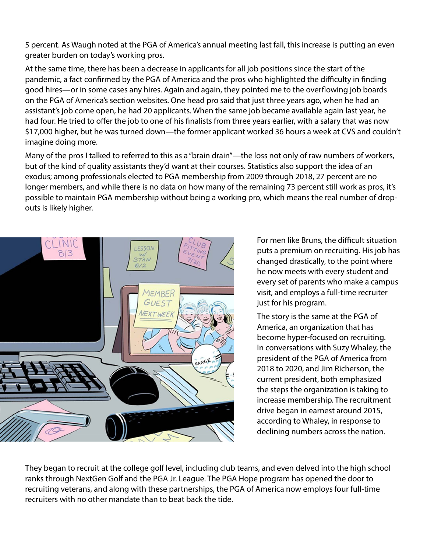5 percent. As Waugh noted at the PGA of America's annual meeting last fall, this increase is putting an even greater burden on today's working pros.

At the same time, there has been a decrease in applicants for all job positions since the start of the pandemic, a fact confirmed by the PGA of America and the pros who highlighted the difficulty in finding good hires—or in some cases any hires. Again and again, they pointed me to the overflowing job boards on the PGA of America's section websites. One head pro said that just three years ago, when he had an assistant's job come open, he had 20 applicants. When the same job became available again last year, he had four. He tried to offer the job to one of his finalists from three years earlier, with a salary that was now \$17,000 higher, but he was turned down—the former applicant worked 36 hours a week at CVS and couldn't imagine doing more.

Many of the pros I talked to referred to this as a "brain drain"—the loss not only of raw numbers of workers, but of the kind of quality assistants they'd want at their courses. Statistics also support the idea of an exodus; among professionals elected to PGA membership from 2009 through 2018, 27 percent are no longer members, and while there is no data on how many of the remaining 73 percent still work as pros, it's possible to maintain PGA membership without being a working pro, which means the real number of dropouts is likely higher.



For men like Bruns, the difficult situation puts a premium on recruiting. His job has changed drastically, to the point where he now meets with every student and every set of parents who make a campus visit, and employs a full-time recruiter just for his program.

The story is the same at the PGA of America, an organization that has become hyper-focused on recruiting. In conversations with Suzy Whaley, the president of the PGA of America from 2018 to 2020, and Jim Richerson, the current president, both emphasized the steps the organization is taking to increase membership. The recruitment drive began in earnest around 2015, according to Whaley, in response to declining numbers across the nation.

They began to recruit at the college golf level, including club teams, and even delved into the high school ranks through NextGen Golf and the PGA Jr. League. The PGA Hope program has opened the door to recruiting veterans, and along with these partnerships, the PGA of America now employs four full-time recruiters with no other mandate than to beat back the tide.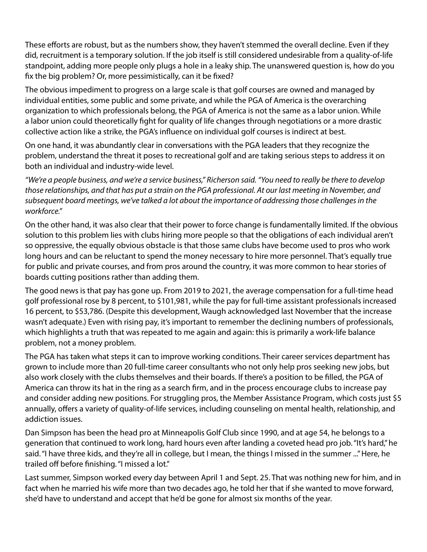These efforts are robust, but as the numbers show, they haven't stemmed the overall decline. Even if they did, recruitment is a temporary solution. If the job itself is still considered undesirable from a quality-of-life standpoint, adding more people only plugs a hole in a leaky ship. The unanswered question is, how do you fix the big problem? Or, more pessimistically, can it be fixed?

The obvious impediment to progress on a large scale is that golf courses are owned and managed by individual entities, some public and some private, and while the PGA of America is the overarching organization to which professionals belong, the PGA of America is not the same as a labor union. While a labor union could theoretically fight for quality of life changes through negotiations or a more drastic collective action like a strike, the PGA's influence on individual golf courses is indirect at best.

On one hand, it was abundantly clear in conversations with the PGA leaders that they recognize the problem, understand the threat it poses to recreational golf and are taking serious steps to address it on both an individual and industry-wide level.

*"We're a people business, and we're a service business," Richerson said. "You need to really be there to develop those relationships, and that has put a strain on the PGA professional. At our last meeting in November, and subsequent board meetings, we've talked a lot about the importance of addressing those challenges in the workforce."*

On the other hand, it was also clear that their power to force change is fundamentally limited. If the obvious solution to this problem lies with clubs hiring more people so that the obligations of each individual aren't so oppressive, the equally obvious obstacle is that those same clubs have become used to pros who work long hours and can be reluctant to spend the money necessary to hire more personnel. That's equally true for public and private courses, and from pros around the country, it was more common to hear stories of boards cutting positions rather than adding them.

The good news is that pay has gone up. From 2019 to 2021, the average compensation for a full-time head golf professional rose by 8 percent, to \$101,981, while the pay for full-time assistant professionals increased 16 percent, to \$53,786. (Despite this development, Waugh acknowledged last November that the increase wasn't adequate.) Even with rising pay, it's important to remember the declining numbers of professionals, which highlights a truth that was repeated to me again and again: this is primarily a work-life balance problem, not a money problem.

The PGA has taken what steps it can to improve working conditions. Their career services department has grown to include more than 20 full-time career consultants who not only help pros seeking new jobs, but also work closely with the clubs themselves and their boards. If there's a position to be filled, the PGA of America can throw its hat in the ring as a search firm, and in the process encourage clubs to increase pay and consider adding new positions. For struggling pros, the Member Assistance Program, which costs just \$5 annually, offers a variety of quality-of-life services, including counseling on mental health, relationship, and addiction issues.

Dan Simpson has been the head pro at Minneapolis Golf Club since 1990, and at age 54, he belongs to a generation that continued to work long, hard hours even after landing a coveted head pro job. "It's hard," he said. "I have three kids, and they're all in college, but I mean, the things I missed in the summer ..." Here, he trailed off before finishing. "I missed a lot."

Last summer, Simpson worked every day between April 1 and Sept. 25. That was nothing new for him, and in fact when he married his wife more than two decades ago, he told her that if she wanted to move forward, she'd have to understand and accept that he'd be gone for almost six months of the year.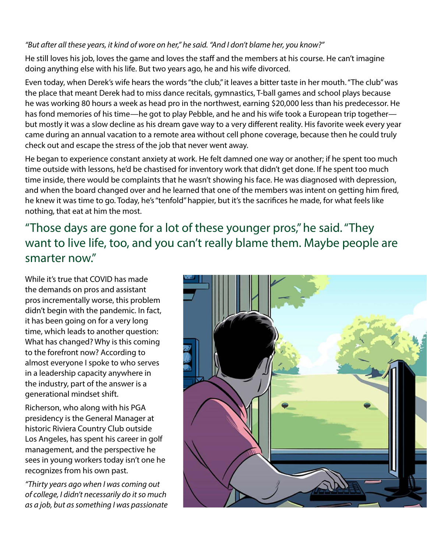#### *"But after all these years, it kind of wore on her," he said. "And I don't blame her, you know?"*

He still loves his job, loves the game and loves the staff and the members at his course. He can't imagine doing anything else with his life. But two years ago, he and his wife divorced.

Even today, when Derek's wife hears the words "the club," it leaves a bitter taste in her mouth. "The club" was the place that meant Derek had to miss dance recitals, gymnastics, T-ball games and school plays because he was working 80 hours a week as head pro in the northwest, earning \$20,000 less than his predecessor. He has fond memories of his time—he got to play Pebble, and he and his wife took a European trip together but mostly it was a slow decline as his dream gave way to a very different reality. His favorite week every year came during an annual vacation to a remote area without cell phone coverage, because then he could truly check out and escape the stress of the job that never went away.

He began to experience constant anxiety at work. He felt damned one way or another; if he spent too much time outside with lessons, he'd be chastised for inventory work that didn't get done. If he spent too much time inside, there would be complaints that he wasn't showing his face. He was diagnosed with depression, and when the board changed over and he learned that one of the members was intent on getting him fired, he knew it was time to go. Today, he's "tenfold" happier, but it's the sacrifices he made, for what feels like nothing, that eat at him the most.

"Those days are gone for a lot of these younger pros," he said. "They want to live life, too, and you can't really blame them. Maybe people are smarter now."

While it's true that COVID has made the demands on pros and assistant pros incrementally worse, this problem didn't begin with the pandemic. In fact, it has been going on for a very long time, which leads to another question: What has changed? Why is this coming to the forefront now? According to almost everyone I spoke to who serves in a leadership capacity anywhere in the industry, part of the answer is a generational mindset shift.

Richerson, who along with his PGA presidency is the General Manager at historic Riviera Country Club outside Los Angeles, has spent his career in golf management, and the perspective he sees in young workers today isn't one he recognizes from his own past.

*"Thirty years ago when I was coming out of college, I didn't necessarily do it so much as a job, but as something I was passionate* 

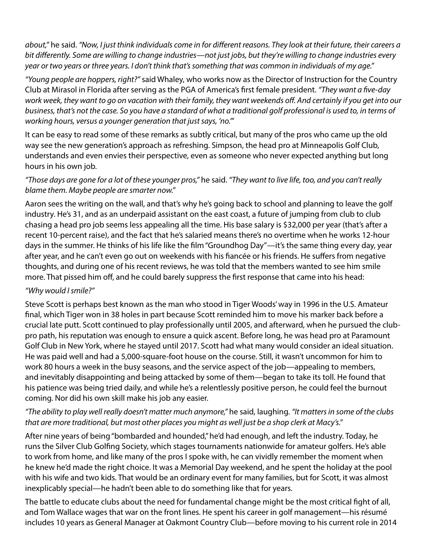*about,"* he said. *"Now, I just think individuals come in for different reasons. They look at their future, their careers a bit differently. Some are willing to change industries—not just jobs, but they're willing to change industries every year or two years or three years. I don't think that's something that was common in individuals of my age."*

*"Young people are hoppers, right?"* said Whaley, who works now as the Director of Instruction for the Country Club at Mirasol in Florida after serving as the PGA of America's first female president. *"They want a five-day work week, they want to go on vacation with their family, they want weekends off. And certainly if you get into our business, that's not the case. So you have a standard of what a traditional golf professional is used to, in terms of working hours, versus a younger generation that just says, 'no.'"*

It can be easy to read some of these remarks as subtly critical, but many of the pros who came up the old way see the new generation's approach as refreshing. Simpson, the head pro at Minneapolis Golf Club, understands and even envies their perspective, even as someone who never expected anything but long hours in his own job.

### *"Those days are gone for a lot of these younger pros,"* he said. *"They want to live life, too, and you can't really blame them. Maybe people are smarter now."*

Aaron sees the writing on the wall, and that's why he's going back to school and planning to leave the golf industry. He's 31, and as an underpaid assistant on the east coast, a future of jumping from club to club chasing a head pro job seems less appealing all the time. His base salary is \$32,000 per year (that's after a recent 10-percent raise), and the fact that he's salaried means there's no overtime when he works 12-hour days in the summer. He thinks of his life like the film "Groundhog Day"—it's the same thing every day, year after year, and he can't even go out on weekends with his fiancée or his friends. He suffers from negative thoughts, and during one of his recent reviews, he was told that the members wanted to see him smile more. That pissed him off, and he could barely suppress the first response that came into his head:

#### *"Why would I smile?"*

Steve Scott is perhaps best known as the man who stood in Tiger Woods' way in 1996 in the U.S. Amateur final, which Tiger won in 38 holes in part because Scott reminded him to move his marker back before a crucial late putt. Scott continued to play professionally until 2005, and afterward, when he pursued the clubpro path, his reputation was enough to ensure a quick ascent. Before long, he was head pro at Paramount Golf Club in New York, where he stayed until 2017. Scott had what many would consider an ideal situation. He was paid well and had a 5,000-square-foot house on the course. Still, it wasn't uncommon for him to work 80 hours a week in the busy seasons, and the service aspect of the job—appealing to members, and inevitably disappointing and being attacked by some of them—began to take its toll. He found that his patience was being tried daily, and while he's a relentlessly positive person, he could feel the burnout coming. Nor did his own skill make his job any easier.

## *"The ability to play well really doesn't matter much anymore,"* he said, laughing. *"It matters in some of the clubs that are more traditional, but most other places you might as well just be a shop clerk at Macy's."*

After nine years of being "bombarded and hounded," he'd had enough, and left the industry. Today, he runs the Silver Club Golfing Society, which stages tournaments nationwide for amateur golfers. He's able to work from home, and like many of the pros I spoke with, he can vividly remember the moment when he knew he'd made the right choice. It was a Memorial Day weekend, and he spent the holiday at the pool with his wife and two kids. That would be an ordinary event for many families, but for Scott, it was almost inexplicably special—he hadn't been able to do something like that for years.

The battle to educate clubs about the need for fundamental change might be the most critical fight of all, and Tom Wallace wages that war on the front lines. He spent his career in golf management—his résumé includes 10 years as General Manager at Oakmont Country Club—before moving to his current role in 2014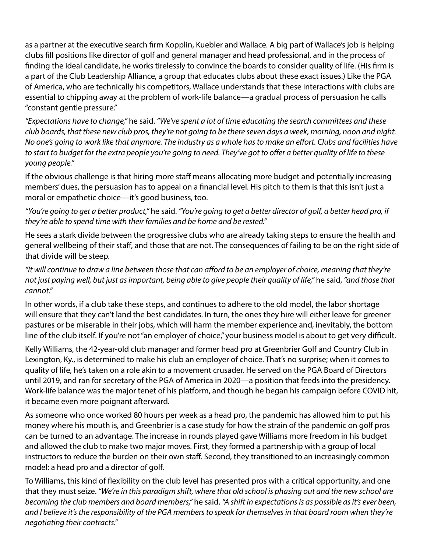as a partner at the executive search firm Kopplin, Kuebler and Wallace. A big part of Wallace's job is helping clubs fill positions like director of golf and general manager and head professional, and in the process of finding the ideal candidate, he works tirelessly to convince the boards to consider quality of life. (His firm is a part of the Club Leadership Alliance, a group that educates clubs about these exact issues.) Like the PGA of America, who are technically his competitors, Wallace understands that these interactions with clubs are essential to chipping away at the problem of work-life balance—a gradual process of persuasion he calls "constant gentle pressure."

*"Expectations have to change,"* he said. *"We've spent a lot of time educating the search committees and these club boards, that these new club pros, they're not going to be there seven days a week, morning, noon and night. No one's going to work like that anymore. The industry as a whole has to make an effort. Clubs and facilities have to start to budget for the extra people you're going to need. They've got to offer a better quality of life to these young people."*

If the obvious challenge is that hiring more staff means allocating more budget and potentially increasing members' dues, the persuasion has to appeal on a financial level. His pitch to them is that this isn't just a moral or empathetic choice—it's good business, too.

*"You're going to get a better product,"* he said. *"You're going to get a better director of golf, a better head pro, if they're able to spend time with their families and be home and be rested."*

He sees a stark divide between the progressive clubs who are already taking steps to ensure the health and general wellbeing of their staff, and those that are not. The consequences of failing to be on the right side of that divide will be steep.

*"It will continue to draw a line between those that can afford to be an employer of choice, meaning that they're not just paying well, but just as important, being able to give people their quality of life,"* he said, *"and those that cannot."*

In other words, if a club take these steps, and continues to adhere to the old model, the labor shortage will ensure that they can't land the best candidates. In turn, the ones they hire will either leave for greener pastures or be miserable in their jobs, which will harm the member experience and, inevitably, the bottom line of the club itself. If you're not "an employer of choice," your business model is about to get very difficult.

Kelly Williams, the 42-year-old club manager and former head pro at Greenbrier Golf and Country Club in Lexington, Ky., is determined to make his club an employer of choice. That's no surprise; when it comes to quality of life, he's taken on a role akin to a movement crusader. He served on the PGA Board of Directors until 2019, and ran for secretary of the PGA of America in 2020—a position that feeds into the presidency. Work-life balance was the major tenet of his platform, and though he began his campaign before COVID hit, it became even more poignant afterward.

As someone who once worked 80 hours per week as a head pro, the pandemic has allowed him to put his money where his mouth is, and Greenbrier is a case study for how the strain of the pandemic on golf pros can be turned to an advantage. The increase in rounds played gave Williams more freedom in his budget and allowed the club to make two major moves. First, they formed a partnership with a group of local instructors to reduce the burden on their own staff. Second, they transitioned to an increasingly common model: a head pro and a director of golf.

To Williams, this kind of flexibility on the club level has presented pros with a critical opportunity, and one that they must seize. *"We're in this paradigm shift, where that old school is phasing out and the new school are becoming the club members and board members,"* he said. *"A shift in expectations is as possible as it's ever been, and I believe it's the responsibility of the PGA members to speak for themselves in that board room when they're negotiating their contracts."*